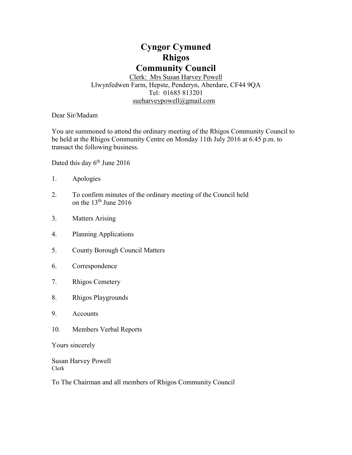# **Cyngor Cymuned Rhigos Community Council**

Clerk: Mrs Susan Harvey Powell Llwynfedwen Farm, Hepste, Penderyn, Aberdare, CF44 9QA Tel: 01685 813201 [sueharveypowell@g](mailto:sharveypowell@comin-infants.co.uk)mail.com

Dear Sir/Madam

You are summoned to attend the ordinary meeting of the Rhigos Community Council to be held at the Rhigos Community Centre on Monday 11th July 2016 at 6.45 p.m. to transact the following business.

Dated this day 6<sup>th</sup> June 2016

- 1. Apologies
- 2. To confirm minutes of the ordinary meeting of the Council held on the 13<sup>th</sup> June 2016
- 3. Matters Arising
- 4. Planning Applications
- 5. County Borough Council Matters
- 6. Correspondence
- 7. Rhigos Cemetery
- 8. Rhigos Playgrounds
- 9. Accounts
- 10. Members Verbal Reports

Yours sincerely

Susan Harvey Powell Clerk

To The Chairman and all members of Rhigos Community Council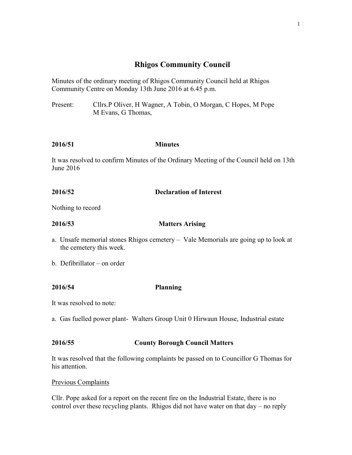# **Rhigos Community Council**

Minutes of the ordinary meeting of Rhigos Community Council held at Rhigos Community Centre on Monday 13th June 2016 at 6.45 p.m.

Present: Cllrs.P Oliver, H Wagner, A Tobin, O Morgan, C Hopes, M Pope M Evans, G Thomas,

## **2016/51 Minutes**

It was resolved to confirm Minutes of the Ordinary Meeting of the Council held on 13th June 2016

# **2016/52 Declaration of Interest**

Nothing to record

**2016/53 Matters Arising**

- a. Unsafe memorial stones Rhigos cemetery Vale Memorials are going up to look at the cemetery this week.
- b. Defibrillator on order

## **2016/54 Planning**

It was resolved to note:

a. Gas fuelled power plant- Walters Group Unit 0 Hirwaun House, Industrial estate

## **2016/55 County Borough Council Matters**

It was resolved that the following complaints be passed on to Councillor G Thomas for his attention.

## Previous Complaints

Cllr. Pope asked for a report on the recent fire on the Industrial Estate, there is no control over these recycling plants. Rhigos did not have water on that day – no reply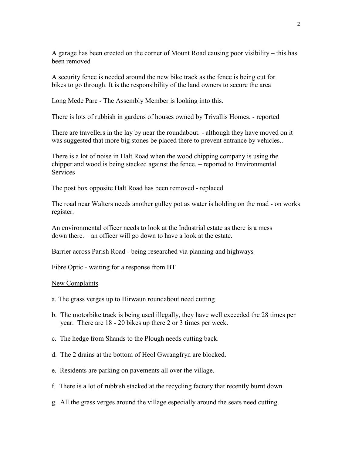A garage has been erected on the corner of Mount Road causing poor visibility – this has been removed

A security fence is needed around the new bike track as the fence is being cut for bikes to go through. It is the responsibility of the land owners to secure the area

Long Mede Parc - The Assembly Member is looking into this.

There is lots of rubbish in gardens of houses owned by Trivallis Homes. - reported

There are travellers in the lay by near the roundabout. - although they have moved on it was suggested that more big stones be placed there to prevent entrance by vehicles..

There is a lot of noise in Halt Road when the wood chipping company is using the chipper and wood is being stacked against the fence. – reported to Environmental **Services** 

The post box opposite Halt Road has been removed - replaced

The road near Walters needs another gulley pot as water is holding on the road - on works register.

An environmental officer needs to look at the Industrial estate as there is a mess down there. – an officer will go down to have a look at the estate.

Barrier across Parish Road - being researched via planning and highways

Fibre Optic - waiting for a response from BT

#### New Complaints

- a. The grass verges up to Hirwaun roundabout need cutting
- b. The motorbike track is being used illegally, they have well exceeded the 28 times per year. There are 18 - 20 bikes up there 2 or 3 times per week.
- c. The hedge from Shands to the Plough needs cutting back.
- d. The 2 drains at the bottom of Heol Gwrangfryn are blocked.
- e. Residents are parking on pavements all over the village.
- f. There is a lot of rubbish stacked at the recycling factory that recently burnt down
- g. All the grass verges around the village especially around the seats need cutting.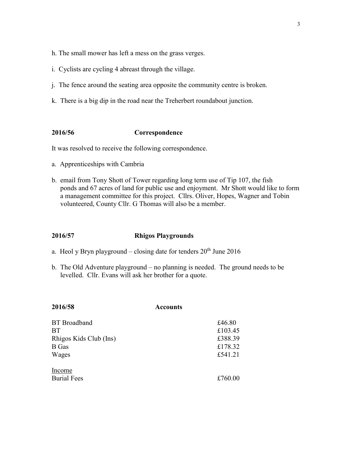- h. The small mower has left a mess on the grass verges.
- i. Cyclists are cycling 4 abreast through the village.
- j. The fence around the seating area opposite the community centre is broken.
- k. There is a big dip in the road near the Treherbert roundabout junction.

#### **2016/56 Correspondence**

It was resolved to receive the following correspondence.

- a. Apprenticeships with Cambria
- b. email from Tony Shott of Tower regarding long term use of Tip 107, the fish ponds and 67 acres of land for public use and enjoyment. Mr Shott would like to form a management committee for this project. Cllrs. Oliver, Hopes, Wagner and Tobin volunteered, County Cllr. G Thomas will also be a member.

#### **2016/57 Rhigos Playgrounds**

- a. Heol y Bryn playground closing date for tenders  $20<sup>th</sup>$  June 2016
- b. The Old Adventure playground no planning is needed. The ground needs to be levelled. Cllr. Evans will ask her brother for a quote.

| 2016/58                | <b>Accounts</b> |  |
|------------------------|-----------------|--|
| <b>BT</b> Broadband    | £46.80          |  |
| <b>BT</b>              | £103.45         |  |
| Rhigos Kids Club (Ins) | £388.39         |  |
| <b>B</b> Gas           | £178.32         |  |
| Wages                  | £541.21         |  |
| Income                 |                 |  |
| <b>Burial Fees</b>     | £760.00         |  |